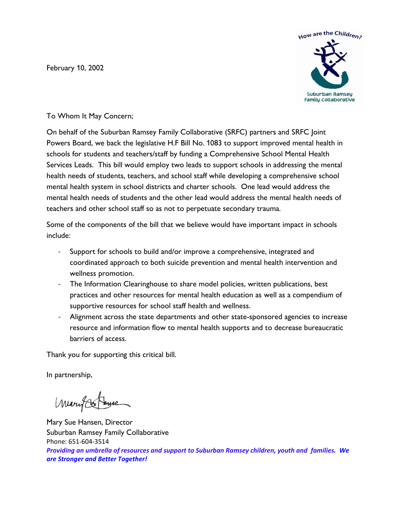February 10, 2002



To Whom It May Concern;

On behalf of the Suburban Ramsey Family Collaborative (SRFC) partners and SRFC Joint Powers Board, we back the legislative H.F Bill No. 1083 to support improved mental health in schools for students and teachers/staff by funding a Comprehensive School Mental Health Services Leads. This bill would employ two leads to support schools in addressing the mental health needs of students, teachers, and school staff while developing a comprehensive school mental health system in school districts and charter schools. One lead would address the mental health needs of students and the other lead would address the mental health needs of teachers and other school staff so as not to perpetuate secondary trauma.

Some of the components of the bill that we believe would have important impact in schools include:

- Support for schools to build and/or improve a comprehensive, integrated and coordinated approach to both suicide prevention and mental health intervention and wellness promotion.
- The Information Clearinghouse to share model policies, written publications, best practices and other resources for mental health education as well as a compendium of supportive resources for school staff health and wellness.
- Alignment across the state departments and other state-sponsored agencies to increase resource and information flow to mental health supports and to decrease bureaucratic barriers of access.

Thank you for supporting this critical bill.

In partnership,

Mary Coloure

Mary Sue Hansen, Director Suburban Ramsey Family Collaborative Phone: 651-604-3514 *Providing an umbrella of resources and support to Suburban Ramsey children, youth and families. We are Stronger and Better Together!*